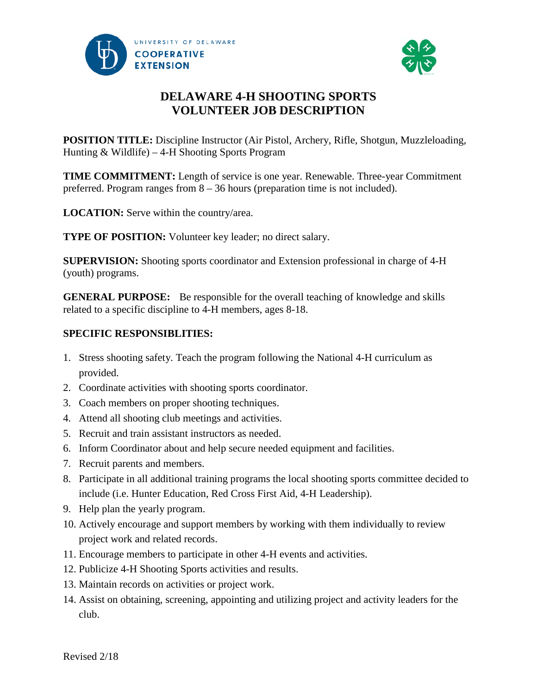



# **DELAWARE 4-H SHOOTING SPORTS VOLUNTEER JOB DESCRIPTION**

**POSITION TITLE:** Discipline Instructor (Air Pistol, Archery, Rifle, Shotgun, Muzzleloading, Hunting & Wildlife) – 4-H Shooting Sports Program

**TIME COMMITMENT:** Length of service is one year. Renewable. Three-year Commitment preferred. Program ranges from 8 – 36 hours (preparation time is not included).

**LOCATION:** Serve within the country/area.

**TYPE OF POSITION:** Volunteer key leader; no direct salary.

**SUPERVISION:** Shooting sports coordinator and Extension professional in charge of 4-H (youth) programs.

**GENERAL PURPOSE:** Be responsible for the overall teaching of knowledge and skills related to a specific discipline to 4-H members, ages 8-18.

## **SPECIFIC RESPONSIBLITIES:**

- 1. Stress shooting safety. Teach the program following the National 4-H curriculum as provided.
- 2. Coordinate activities with shooting sports coordinator.
- 3. Coach members on proper shooting techniques.
- 4. Attend all shooting club meetings and activities.
- 5. Recruit and train assistant instructors as needed.
- 6. Inform Coordinator about and help secure needed equipment and facilities.
- 7. Recruit parents and members.
- 8. Participate in all additional training programs the local shooting sports committee decided to include (i.e. Hunter Education, Red Cross First Aid, 4-H Leadership).
- 9. Help plan the yearly program.
- 10. Actively encourage and support members by working with them individually to review project work and related records.
- 11. Encourage members to participate in other 4-H events and activities.
- 12. Publicize 4-H Shooting Sports activities and results.
- 13. Maintain records on activities or project work.
- 14. Assist on obtaining, screening, appointing and utilizing project and activity leaders for the club.